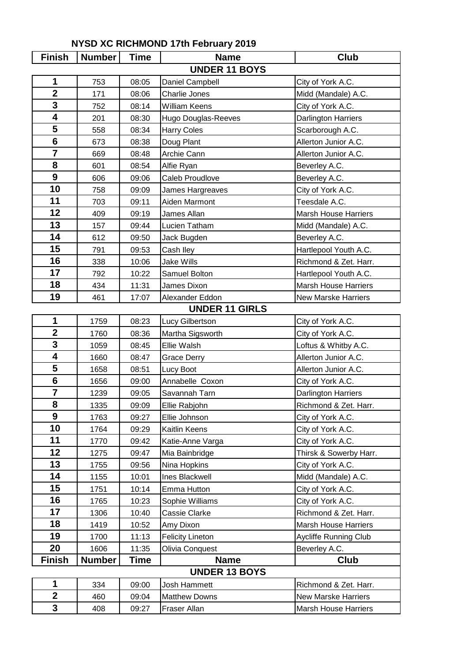| <b>Finish</b>           | <b>Number</b> | <b>Time</b> | <b>Name</b>             | Club                        |  |  |  |  |
|-------------------------|---------------|-------------|-------------------------|-----------------------------|--|--|--|--|
| <b>UNDER 11 BOYS</b>    |               |             |                         |                             |  |  |  |  |
| 1                       | 753           | 08:05       | Daniel Campbell         | City of York A.C.           |  |  |  |  |
| $\mathbf{2}$            | 171           | 08:06       | Charlie Jones           | Midd (Mandale) A.C.         |  |  |  |  |
| $\mathbf{3}$            | 752           | 08:14       | <b>William Keens</b>    | City of York A.C.           |  |  |  |  |
| 4                       | 201           | 08:30       | Hugo Douglas-Reeves     | Darlington Harriers         |  |  |  |  |
| 5                       | 558           | 08:34       | <b>Harry Coles</b>      | Scarborough A.C.            |  |  |  |  |
| $6\phantom{1}6$         | 673           | 08:38       | Doug Plant              | Allerton Junior A.C.        |  |  |  |  |
| $\overline{7}$          | 669           | 08:48       | Archie Cann             | Allerton Junior A.C.        |  |  |  |  |
| 8                       | 601           | 08:54       | Alfie Ryan              | Beverley A.C.               |  |  |  |  |
| $\boldsymbol{9}$        | 606           | 09:06       | Caleb Proudlove         | Beverley A.C.               |  |  |  |  |
| 10                      | 758           | 09:09       | James Hargreaves        | City of York A.C.           |  |  |  |  |
| 11                      | 703           | 09:11       | Aiden Marmont           | Teesdale A.C.               |  |  |  |  |
| 12                      | 409           | 09:19       | James Allan             | <b>Marsh House Harriers</b> |  |  |  |  |
| 13                      | 157           | 09:44       | Lucien Tatham           | Midd (Mandale) A.C.         |  |  |  |  |
| 14                      | 612           | 09:50       | Jack Bugden             | Beverley A.C.               |  |  |  |  |
| 15                      | 791           | 09:53       | Cash Iley               | Hartlepool Youth A.C.       |  |  |  |  |
| 16                      | 338           | 10:06       | <b>Jake Wills</b>       | Richmond & Zet. Harr.       |  |  |  |  |
| 17                      | 792           | 10:22       | Samuel Bolton           | Hartlepool Youth A.C.       |  |  |  |  |
| 18                      | 434           | 11:31       | James Dixon             | <b>Marsh House Harriers</b> |  |  |  |  |
| 19                      | 461           | 17:07       | Alexander Eddon         | <b>New Marske Harriers</b>  |  |  |  |  |
|                         |               |             | <b>UNDER 11 GIRLS</b>   |                             |  |  |  |  |
| 1                       | 1759          | 08:23       | Lucy Gilbertson         | City of York A.C.           |  |  |  |  |
| $\mathbf 2$             | 1760          | 08:36       | Martha Sigsworth        | City of York A.C.           |  |  |  |  |
| 3                       | 1059          | 08:45       | <b>Ellie Walsh</b>      | Loftus & Whitby A.C.        |  |  |  |  |
| 4                       | 1660          | 08:47       | <b>Grace Derry</b>      | Allerton Junior A.C.        |  |  |  |  |
| 5                       | 1658          | 08:51       | Lucy Boot               | Allerton Junior A.C.        |  |  |  |  |
| $6\phantom{1}6$         | 1656          | 09:00       | Annabelle Coxon         | City of York A.C.           |  |  |  |  |
| $\overline{\mathbf{7}}$ | 1239          | 09:05       | Savannah Tarn           | <b>Darlington Harriers</b>  |  |  |  |  |
| 8                       | 1335          | 09:09       | Ellie Rabjohn           | Richmond & Zet. Harr.       |  |  |  |  |
| 9                       | 1763          | 09:27       | Ellie Johnson           | City of York A.C.           |  |  |  |  |
| 10                      | 1764          | 09:29       | Kaitlin Keens           | City of York A.C.           |  |  |  |  |
| 11                      | 1770          | 09:42       | Katie-Anne Varga        | City of York A.C.           |  |  |  |  |
| 12                      | 1275          | 09:47       | Mia Bainbridge          | Thirsk & Sowerby Harr.      |  |  |  |  |
| 13                      | 1755          | 09:56       | Nina Hopkins            | City of York A.C.           |  |  |  |  |
| 14                      | 1155          | 10:01       | Ines Blackwell          | Midd (Mandale) A.C.         |  |  |  |  |
| 15                      | 1751          | 10:14       | Emma Hutton             | City of York A.C.           |  |  |  |  |
| 16                      | 1765          | 10:23       | Sophie Williams         | City of York A.C.           |  |  |  |  |
| 17                      | 1306          | 10:40       | Cassie Clarke           | Richmond & Zet. Harr.       |  |  |  |  |
| 18                      | 1419          | 10:52       | Amy Dixon               | <b>Marsh House Harriers</b> |  |  |  |  |
| 19                      | 1700          | 11:13       | <b>Felicity Lineton</b> | Aycliffe Running Club       |  |  |  |  |
| 20                      | 1606          | 11:35       | Olivia Conquest         | Beverley A.C.               |  |  |  |  |
| Finish                  | <b>Number</b> | Time        | <b>Name</b>             | Club                        |  |  |  |  |
|                         |               |             | <b>UNDER 13 BOYS</b>    |                             |  |  |  |  |
| 1                       | 334           | 09:00       | Josh Hammett            | Richmond & Zet. Harr.       |  |  |  |  |
| $\boldsymbol{2}$        | 460           | 09:04       | <b>Matthew Downs</b>    | <b>New Marske Harriers</b>  |  |  |  |  |
| 3                       | 408           | 09:27       | Fraser Allan            | <b>Marsh House Harriers</b> |  |  |  |  |

## **NYSD XC RICHMOND 17th February 2019**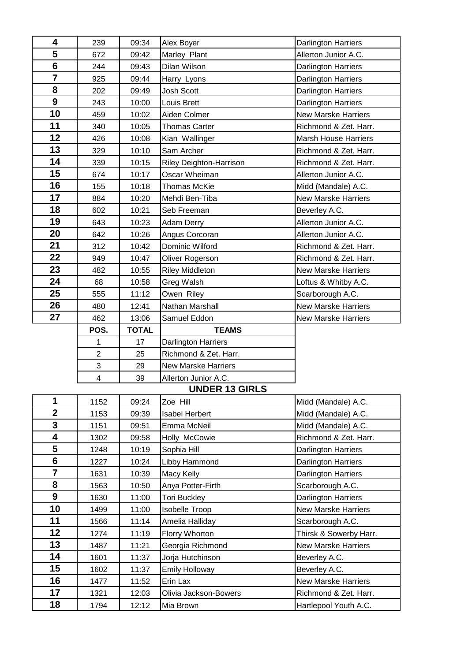| 4                       | 239                     | 09:34          | Alex Boyer                 | Darlington Harriers         |
|-------------------------|-------------------------|----------------|----------------------------|-----------------------------|
| 5                       | 672                     | 09:42          | Marley Plant               | Allerton Junior A.C.        |
| $6\phantom{a}$          | 244                     | 09:43          | Dilan Wilson               | <b>Darlington Harriers</b>  |
| $\overline{7}$          | 925                     | 09:44          | Harry Lyons                | Darlington Harriers         |
| 8                       | 202                     | 09:49          | Josh Scott                 | Darlington Harriers         |
| 9                       | 243                     | 10:00          | Louis Brett                | Darlington Harriers         |
| 10                      | 459                     | 10:02          | Aiden Colmer               | <b>New Marske Harriers</b>  |
| 11                      | 340                     | 10:05          | <b>Thomas Carter</b>       | Richmond & Zet. Harr.       |
| 12                      | 426                     | 10:08          | Kian Wallinger             | <b>Marsh House Harriers</b> |
| 13                      | 329                     | 10:10          | Sam Archer                 | Richmond & Zet. Harr.       |
| 14                      | 339                     | 10:15          | Riley Deighton-Harrison    | Richmond & Zet. Harr.       |
| 15                      | 674                     | 10:17          | Oscar Wheiman              | Allerton Junior A.C.        |
| 16                      | 155                     | 10:18          | <b>Thomas McKie</b>        | Midd (Mandale) A.C.         |
| 17                      | 884                     | 10:20          | Mehdi Ben-Tiba             | <b>New Marske Harriers</b>  |
| 18                      | 602                     | 10:21          | Seb Freeman                | Beverley A.C.               |
| 19                      | 643                     | 10:23          | Adam Derry                 | Allerton Junior A.C.        |
| 20                      | 642                     | 10:26          | Angus Corcoran             | Allerton Junior A.C.        |
| 21                      | 312                     | 10:42          | Dominic Wilford            | Richmond & Zet. Harr.       |
| 22                      | 949                     | 10:47          | Oliver Rogerson            | Richmond & Zet. Harr.       |
| 23                      | 482                     | 10:55          | <b>Riley Middleton</b>     | <b>New Marske Harriers</b>  |
| 24                      | 68                      | 10:58          | Greg Walsh                 | Loftus & Whitby A.C.        |
| 25                      | 555                     | 11:12          | Owen Riley                 | Scarborough A.C.            |
| 26                      | 480                     | 12:41          | Nathan Marshall            | <b>New Marske Harriers</b>  |
| 27                      | 462                     | 13:06          | Samuel Eddon               | <b>New Marske Harriers</b>  |
|                         |                         |                |                            |                             |
|                         | POS.                    | <b>TOTAL</b>   | <b>TEAMS</b>               |                             |
|                         | 1                       | 17             | Darlington Harriers        |                             |
|                         | $\overline{2}$          | 25             | Richmond & Zet. Harr.      |                             |
|                         | 3                       | 29             | <b>New Marske Harriers</b> |                             |
|                         | $\overline{\mathbf{4}}$ | 39             | Allerton Junior A.C.       |                             |
|                         |                         |                | <b>UNDER 13 GIRLS</b>      |                             |
| 1                       | 1152                    | 09:24          | Zoe Hill                   | Midd (Mandale) A.C.         |
| $\overline{\mathbf{2}}$ | 1153                    | 09:39          | <b>Isabel Herbert</b>      | Midd (Mandale) A.C.         |
| $\mathbf{3}$            | 1151                    | 09:51          | Emma McNeil                | Midd (Mandale) A.C.         |
| $\overline{\mathbf{4}}$ | 1302                    | 09:58          | Holly McCowie              | Richmond & Zet. Harr.       |
| 5                       | 1248                    | 10:19          | Sophia Hill                | <b>Darlington Harriers</b>  |
| $6\phantom{1}$          | 1227                    | 10:24          | Libby Hammond              | Darlington Harriers         |
| $\overline{7}$          | 1631                    | 10:39          | Macy Kelly                 | <b>Darlington Harriers</b>  |
| 8                       | 1563                    | 10:50          | Anya Potter-Firth          | Scarborough A.C.            |
| 9                       | 1630                    | 11:00          | <b>Tori Buckley</b>        | <b>Darlington Harriers</b>  |
| 10                      | 1499                    | 11:00          | <b>Isobelle Troop</b>      | <b>New Marske Harriers</b>  |
| 11                      | 1566                    | 11:14          | Amelia Halliday            | Scarborough A.C.            |
| 12                      | 1274                    | 11:19          | Florry Whorton             | Thirsk & Sowerby Harr.      |
| 13                      | 1487                    | 11:21          | Georgia Richmond           | <b>New Marske Harriers</b>  |
| 14                      | 1601                    | 11:37          | Jorja Hutchinson           | Beverley A.C.               |
| 15                      | 1602                    | 11:37          | <b>Emily Holloway</b>      | Beverley A.C.               |
| 16                      | 1477                    | 11:52          | Erin Lax                   | <b>New Marske Harriers</b>  |
| 17<br>18                | 1321                    | 12:03<br>12:12 | Olivia Jackson-Bowers      | Richmond & Zet. Harr.       |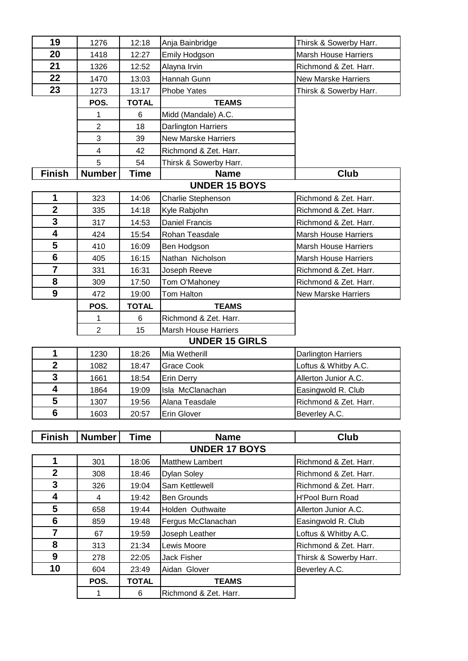| 19                      | 1276           | 12:18        | Anja Bainbridge             | Thirsk & Sowerby Harr.      |
|-------------------------|----------------|--------------|-----------------------------|-----------------------------|
| 20                      | 1418           | 12:27        | Emily Hodgson               | <b>Marsh House Harriers</b> |
| 21                      | 1326           | 12:52        | Alayna Irvin                | Richmond & Zet. Harr.       |
| 22                      | 1470           | 13:03        | Hannah Gunn                 | <b>New Marske Harriers</b>  |
| 23                      | 1273           | 13:17        | Phobe Yates                 | Thirsk & Sowerby Harr.      |
|                         | POS.           | <b>TOTAL</b> | <b>TEAMS</b>                |                             |
|                         | 1              | 6            | Midd (Mandale) A.C.         |                             |
|                         | $\overline{2}$ | 18           | <b>Darlington Harriers</b>  |                             |
|                         | 3              | 39           | New Marske Harriers         |                             |
|                         | 4              | 42           | Richmond & Zet. Harr.       |                             |
|                         | 5              | 54           | Thirsk & Sowerby Harr.      |                             |
| <b>Finish</b>           | <b>Number</b>  | Time         | <b>Name</b>                 | Club                        |
|                         |                |              | <b>UNDER 15 BOYS</b>        |                             |
| 1                       | 323            | 14:06        | Charlie Stephenson          | Richmond & Zet. Harr.       |
| $\mathbf{2}$            | 335            | 14:18        | Kyle Rabjohn                | Richmond & Zet. Harr.       |
| 3                       | 317            | 14:53        | <b>Daniel Francis</b>       | Richmond & Zet. Harr.       |
| $\overline{\mathbf{4}}$ | 424            | 15:54        | Rohan Teasdale              | <b>Marsh House Harriers</b> |
| 5                       | 410            | 16:09        | Ben Hodgson                 | <b>Marsh House Harriers</b> |
| $6\phantom{1}$          | 405            | 16:15        | Nathan Nicholson            | <b>Marsh House Harriers</b> |
| $\overline{7}$          | 331            | 16:31        | Joseph Reeve                | Richmond & Zet. Harr.       |
| 8                       | 309            | 17:50        | Tom O'Mahoney               | Richmond & Zet. Harr.       |
| 9                       | 472            | 19:00        | Tom Halton                  | <b>New Marske Harriers</b>  |
|                         | POS.           | <b>TOTAL</b> | <b>TEAMS</b>                |                             |
|                         | 1              | 6            | Richmond & Zet. Harr.       |                             |
|                         | $\overline{2}$ | 15           | <b>Marsh House Harriers</b> |                             |
|                         |                |              | <b>UNDER 15 GIRLS</b>       |                             |
| 1                       | 1230           | 18:26        | Mia Wetherill               | Darlington Harriers         |
| $\mathbf 2$             | 1082           | 18:47        | Grace Cook                  | Loftus & Whitby A.C.        |
| 3                       | 1661           | 18:54        | <b>Erin Derry</b>           | Allerton Junior A.C.        |
| 4                       | 1864           | 19:09        | Isla McClanachan            | Easingwold R. Club          |
| 5                       | 1307           | 19:56        | Alana Teasdale              | Richmond & Zet. Harr.       |
| 6                       | 1603           | 20:57        | Erin Glover                 | Beverley A.C.               |
|                         |                |              |                             |                             |
| <b>Finish</b>           | <b>Number</b>  | Time         | <b>Name</b>                 | <b>Club</b>                 |
|                         |                |              | <b>UNDER 17 BOYS</b>        |                             |
| 1                       | 301            | 18:06        | <b>Matthew Lambert</b>      | Richmond & Zet. Harr.       |
| $\mathbf{2}$            | 308            | 18:46        | <b>Dylan Soley</b>          | Richmond & Zet. Harr.       |
| 3                       | 326            | 19:04        | Sam Kettlewell              | Richmond & Zet. Harr.       |
| 4                       | 4              | 19:42        | <b>Ben Grounds</b>          | <b>H'Pool Burn Road</b>     |
| 5                       | 658            | 19:44        | Holden Outhwaite            | Allerton Junior A.C.        |
| 6                       | 859            | 19:48        | Fergus McClanachan          | Easingwold R. Club          |
| $\overline{7}$          | 67             | 19:59        | Joseph Leather              | Loftus & Whitby A.C.        |
| 8                       | 313            | 21:34        | Lewis Moore                 | Richmond & Zet. Harr.       |
| 9                       | 278            | 22:05        | Jack Fisher                 | Thirsk & Sowerby Harr.      |
| 10                      | 604            | 23:49        | Aidan Glover                | Beverley A.C.               |
|                         | POS.           | <b>TOTAL</b> | <b>TEAMS</b>                |                             |
|                         | $\mathbf{1}$   | 6            | Richmond & Zet. Harr.       |                             |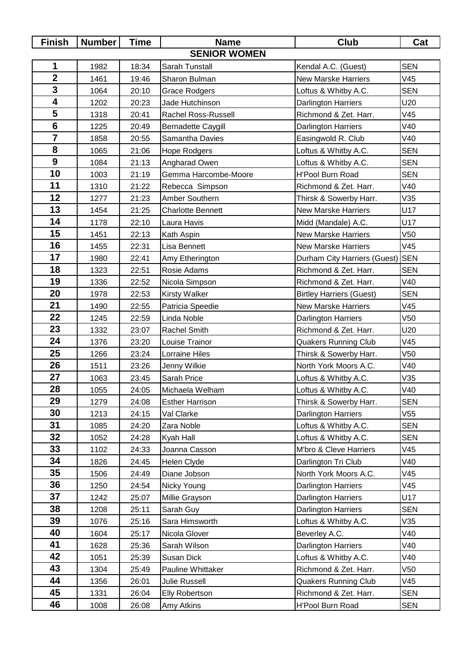| <b>Finish</b>           | <b>Number</b> | <b>Time</b> | <b>Name</b>                | <b>Club</b>                     | Cat             |  |
|-------------------------|---------------|-------------|----------------------------|---------------------------------|-----------------|--|
| <b>SENIOR WOMEN</b>     |               |             |                            |                                 |                 |  |
| 1                       | 1982          | 18:34       | Sarah Tunstall             | Kendal A.C. (Guest)             | <b>SEN</b>      |  |
| $\overline{\mathbf{2}}$ | 1461          | 19:46       | Sharon Bulman              | <b>New Marske Harriers</b>      | V45             |  |
| 3                       | 1064          | 20:10       | <b>Grace Rodgers</b>       | Loftus & Whitby A.C.            | <b>SEN</b>      |  |
| 4                       | 1202          | 20:23       | Jade Hutchinson            | Darlington Harriers             | U20             |  |
| 5                       | 1318          | 20:41       | <b>Rachel Ross-Russell</b> | Richmond & Zet. Harr.           | V45             |  |
| $6\phantom{1}6$         | 1225          | 20:49       | <b>Bernadette Caygill</b>  | Darlington Harriers             | V40             |  |
| $\overline{\mathbf{7}}$ | 1858          | 20:55       | Samantha Davies            | Easingwold R. Club              | V40             |  |
| 8                       | 1065          | 21:06       | <b>Hope Rodgers</b>        | Loftus & Whitby A.C.            | <b>SEN</b>      |  |
| 9                       | 1084          | 21:13       | Angharad Owen              | Loftus & Whitby A.C.            | <b>SEN</b>      |  |
| 10                      | 1003          | 21:19       | Gemma Harcombe-Moore       | <b>H'Pool Burn Road</b>         | <b>SEN</b>      |  |
| 11                      | 1310          | 21:22       | Rebecca Simpson            | Richmond & Zet. Harr.           | V40             |  |
| 12                      | 1277          | 21:23       | Amber Southern             | Thirsk & Sowerby Harr.          | V35             |  |
| 13                      | 1454          | 21:25       | <b>Charlotte Bennett</b>   | <b>New Marske Harriers</b>      | U17             |  |
| 14                      | 1178          | 22:10       | Laura Havis                | Midd (Mandale) A.C.             | U17             |  |
| 15                      | 1451          | 22:13       | Kath Aspin                 | <b>New Marske Harriers</b>      | V <sub>50</sub> |  |
| 16                      | 1455          | 22:31       | Lisa Bennett               | <b>New Marske Harriers</b>      | V45             |  |
| 17                      | 1980          | 22:41       | Amy Etherington            | Durham City Harriers (Guest)    | <b>SEN</b>      |  |
| 18                      | 1323          | 22:51       | Rosie Adams                | Richmond & Zet. Harr.           | <b>SEN</b>      |  |
| 19                      | 1336          | 22:52       | Nicola Simpson             | Richmond & Zet. Harr.           | V40             |  |
| 20                      | 1978          | 22:53       | <b>Kirsty Walker</b>       | <b>Birtley Harriers (Guest)</b> | <b>SEN</b>      |  |
| 21                      | 1490          | 22:55       | Patricia Speedie           | <b>New Marske Harriers</b>      | V45             |  |
| 22                      | 1245          | 22:59       | Linda Noble                | Darlington Harriers             | V <sub>50</sub> |  |
| 23                      | 1332          | 23:07       | <b>Rachel Smith</b>        | Richmond & Zet. Harr.           | U20             |  |
| 24                      | 1376          | 23:20       | Louise Trainor             | <b>Quakers Running Club</b>     | V45             |  |
| 25                      | 1266          | 23:24       | Lorraine Hiles             | Thirsk & Sowerby Harr.          | V <sub>50</sub> |  |
| 26                      | 1511          | 23:26       | Jenny Wilkie               | North York Moors A.C.           | V40             |  |
| 27                      | 1063          | 23:45       | Sarah Price                | Loftus & Whitby A.C.            | V35             |  |
| 28                      | 1055          | 24:05       | Michaela Welham            | Loftus & Whitby A.C.            | V40             |  |
| 29                      | 1279          | 24:08       | <b>Esther Harrison</b>     | Thirsk & Sowerby Harr.          | <b>SEN</b>      |  |
| 30                      | 1213          | 24:15       | Val Clarke                 | Darlington Harriers             | V55             |  |
| 31                      | 1085          | 24:20       | Zara Noble                 | Loftus & Whitby A.C.            | <b>SEN</b>      |  |
| 32                      | 1052          | 24:28       | Kyah Hall                  | Loftus & Whitby A.C.            | <b>SEN</b>      |  |
| 33                      | 1102          | 24:33       | Joanna Casson              | M'bro & Cleve Harriers          | V45             |  |
| 34                      | 1826          | 24:45       | Helen Clyde                | Darlington Tri Club             | V40             |  |
| 35                      | 1506          | 24:49       | Diane Jobson               | North York Moors A.C.           | V45             |  |
| 36                      | 1250          | 24:54       | Nicky Young                | Darlington Harriers             | V45             |  |
| 37                      | 1242          | 25:07       | Millie Grayson             | Darlington Harriers             | U17             |  |
| 38                      | 1208          | 25:11       | Sarah Guy                  | Darlington Harriers             | <b>SEN</b>      |  |
| 39                      | 1076          | 25:16       | Sara Himsworth             | Loftus & Whitby A.C.            | V35             |  |
| 40                      | 1604          | 25:17       | Nicola Glover              | Beverley A.C.                   | V40             |  |
| 41                      | 1628          | 25:36       | Sarah Wilson               | Darlington Harriers             | V40             |  |
| 42                      | 1051          | 25:39       | Susan Dick                 | Loftus & Whitby A.C.            | V40             |  |
| 43                      | 1304          | 25:49       | Pauline Whittaker          | Richmond & Zet. Harr.           | V50             |  |
| 44                      | 1356          | 26:01       | Julie Russell              | <b>Quakers Running Club</b>     | V45             |  |
| 45                      | 1331          | 26:04       | <b>Elly Robertson</b>      | Richmond & Zet. Harr.           | <b>SEN</b>      |  |
| 46                      | 1008          | 26:08       | Amy Atkins                 | H'Pool Burn Road                | <b>SEN</b>      |  |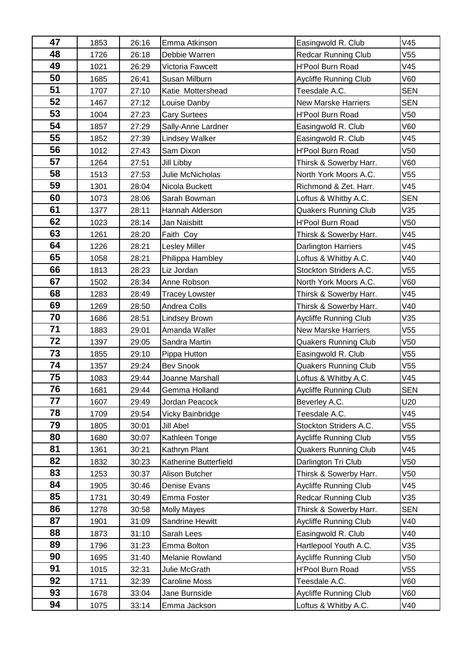| 47 | 1853 | 26:16 | Emma Atkinson         | Easingwold R. Club           | V45             |
|----|------|-------|-----------------------|------------------------------|-----------------|
| 48 | 1726 | 26:18 | Debbie Warren         | <b>Redcar Running Club</b>   | V55             |
| 49 | 1021 | 26:29 | Victoria Fawcett      | <b>H'Pool Burn Road</b>      | V45             |
| 50 | 1685 | 26:41 | Susan Milburn         | <b>Aycliffe Running Club</b> | V60             |
| 51 | 1707 | 27:10 | Katie Mottershead     | Teesdale A.C.                | <b>SEN</b>      |
| 52 | 1467 | 27:12 | Louise Danby          | New Marske Harriers          | <b>SEN</b>      |
| 53 | 1004 | 27:23 | <b>Cary Surtees</b>   | <b>H'Pool Burn Road</b>      | V <sub>50</sub> |
| 54 | 1857 | 27:29 | Sally-Anne Lardner    | Easingwold R. Club           | V60             |
| 55 | 1852 | 27:39 | <b>Lindsey Walker</b> | Easingwold R. Club           | V45             |
| 56 | 1012 | 27:43 | Sam Dixon             | <b>H'Pool Burn Road</b>      | V <sub>50</sub> |
| 57 | 1264 | 27:51 | Jill Libby            | Thirsk & Sowerby Harr.       | V60             |
| 58 | 1513 | 27:53 | Julie McNicholas      | North York Moors A.C.        | V <sub>55</sub> |
| 59 | 1301 | 28:04 | Nicola Buckett        | Richmond & Zet. Harr.        | V45             |
| 60 | 1073 | 28:06 | Sarah Bowman          | Loftus & Whitby A.C.         | <b>SEN</b>      |
| 61 | 1377 | 28:11 | Hannah Alderson       | <b>Quakers Running Club</b>  | V35             |
| 62 | 1023 | 28:14 | Jan Naisbitt          | <b>H'Pool Burn Road</b>      | V50             |
| 63 | 1261 | 28:20 | Faith Coy             | Thirsk & Sowerby Harr.       | V45             |
| 64 | 1226 | 28:21 | <b>Lesley Miller</b>  | Darlington Harriers          | V45             |
| 65 | 1058 | 28:21 | Philippa Hambley      | Loftus & Whitby A.C.         | V40             |
| 66 | 1813 | 28:23 | Liz Jordan            | Stockton Striders A.C.       | V <sub>55</sub> |
| 67 | 1502 | 28:34 | Anne Robson           | North York Moors A.C.        | V60             |
| 68 | 1283 | 28:49 | <b>Tracey Lowster</b> | Thirsk & Sowerby Harr.       | V45             |
| 69 | 1269 | 28:50 | Andrea Colls          | Thirsk & Sowerby Harr.       | V40             |
| 70 | 1686 | 28:51 | <b>Lindsey Brown</b>  | <b>Aycliffe Running Club</b> | V35             |
| 71 | 1883 | 29:01 | Amanda Waller         | New Marske Harriers          | V <sub>55</sub> |
| 72 | 1397 | 29:05 | Sandra Martin         | <b>Quakers Running Club</b>  | V50             |
| 73 | 1855 | 29:10 | Pippa Hutton          | Easingwold R. Club           | V55             |
| 74 | 1357 | 29:24 | <b>Bev Snook</b>      | <b>Quakers Running Club</b>  | V <sub>55</sub> |
| 75 | 1083 | 29:44 | Joanne Marshall       | Loftus & Whitby A.C.         | V45             |
| 76 | 1681 | 29:44 | Gemma Holland         | <b>Aycliffe Running Club</b> | <b>SEN</b>      |
| 77 | 1607 | 29:49 | Jordan Peacock        | Beverley A.C.                | U20             |
| 78 | 1709 | 29:54 | Vicky Bainbridge      | Teesdale A.C.                | V45             |
| 79 | 1805 | 30:01 | Jill Abel             | Stockton Striders A.C.       | V55             |
| 80 | 1680 | 30:07 | Kathleen Tonge        | <b>Aycliffe Running Club</b> | V55             |
| 81 | 1361 | 30:21 | Kathryn Plant         | <b>Quakers Running Club</b>  | V45             |
| 82 | 1832 | 30:23 | Katherine Butterfield | Darlington Tri Club          | V50             |
| 83 | 1253 | 30:37 | Alison Butcher        | Thirsk & Sowerby Harr.       | V50             |
| 84 | 1905 | 30:46 | Denise Evans          | <b>Aycliffe Running Club</b> | V45             |
| 85 | 1731 | 30:49 | Emma Foster           | <b>Redcar Running Club</b>   | V35             |
| 86 | 1278 | 30:58 | <b>Molly Mayes</b>    | Thirsk & Sowerby Harr.       | <b>SEN</b>      |
| 87 | 1901 | 31:09 | Sandrine Hewitt       | <b>Aycliffe Running Club</b> | V40             |
| 88 | 1873 | 31:10 | Sarah Lees            | Easingwold R. Club           | V40             |
| 89 | 1796 | 31:23 | Emma Bolton           | Hartlepool Youth A.C.        | V35             |
| 90 | 1695 | 31:40 | Melanie Rowland       | <b>Aycliffe Running Club</b> | V50             |
| 91 | 1015 | 32:31 | Julie McGrath         | <b>H'Pool Burn Road</b>      | V55             |
| 92 | 1711 | 32:39 | <b>Caroline Moss</b>  | Teesdale A.C.                | V60             |
| 93 | 1678 | 33:04 | Jane Burnside         | <b>Aycliffe Running Club</b> | V60             |
| 94 | 1075 | 33:14 | Emma Jackson          | Loftus & Whitby A.C.         | V40             |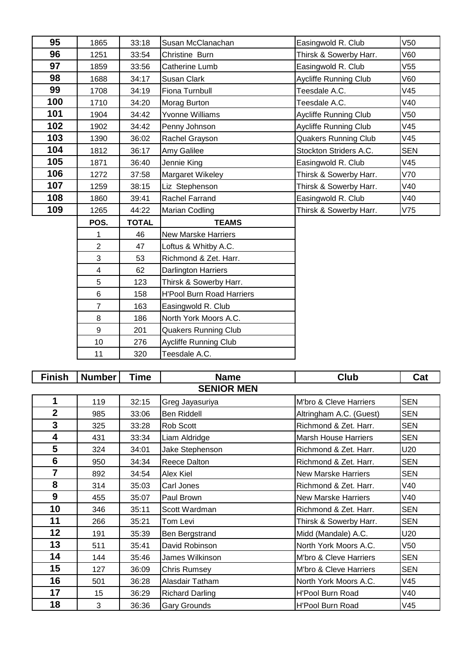| 1865           | 33:18        | Susan McClanachan                | Easingwold R. Club           | V <sub>50</sub> |
|----------------|--------------|----------------------------------|------------------------------|-----------------|
| 1251           | 33:54        | Christine Burn                   | Thirsk & Sowerby Harr.       | V60             |
| 1859           | 33:56        | Catherine Lumb                   | Easingwold R. Club           | V <sub>55</sub> |
| 1688           | 34:17        | <b>Susan Clark</b>               | <b>Aycliffe Running Club</b> | V60             |
| 1708           | 34:19        | Fiona Turnbull                   | Teesdale A.C.                | V45             |
| 1710           | 34:20        | Morag Burton                     | Teesdale A.C.                | V40             |
| 1904           | 34:42        | Yvonne Williams                  | <b>Aycliffe Running Club</b> | V50             |
| 1902           | 34:42        | Penny Johnson                    | <b>Aycliffe Running Club</b> | V45             |
| 1390           | 36:02        | Rachel Grayson                   | <b>Quakers Running Club</b>  | V45             |
| 1812           | 36:17        | Amy Galilee                      | Stockton Striders A.C.       | <b>SEN</b>      |
| 1871           | 36:40        | Jennie King                      | Easingwold R. Club           | V45             |
| 1272           | 37:58        | Margaret Wikeley                 | Thirsk & Sowerby Harr.       | V70             |
| 1259           | 38:15        | Liz Stephenson                   | Thirsk & Sowerby Harr.       | V40             |
| 1860           | 39:41        | Rachel Farrand                   | Easingwold R. Club           | V40             |
| 1265           | 44:22        | Marian Codling                   | Thirsk & Sowerby Harr.       | V75             |
| POS.           | <b>TOTAL</b> | <b>TEAMS</b>                     |                              |                 |
| $\mathbf{1}$   | 46           | <b>New Marske Harriers</b>       |                              |                 |
| $\overline{2}$ | 47           | Loftus & Whitby A.C.             |                              |                 |
| 3              | 53           | Richmond & Zet. Harr.            |                              |                 |
| 4              | 62           | Darlington Harriers              |                              |                 |
| 5              | 123          | Thirsk & Sowerby Harr.           |                              |                 |
| $6\phantom{1}$ | 158          | <b>H'Pool Burn Road Harriers</b> |                              |                 |
| $\overline{7}$ | 163          | Easingwold R. Club               |                              |                 |
| 8              | 186          | North York Moors A.C.            |                              |                 |
| 9              | 201          | <b>Quakers Running Club</b>      |                              |                 |
| 10             | 276          | Aycliffe Running Club            |                              |                 |
|                |              |                                  |                              |                 |
|                |              |                                  |                              |                 |

| <b>Finish</b>  | <b>Number</b>     | Time  | <b>Name</b>            | <b>Club</b>                 | Cat             |  |  |
|----------------|-------------------|-------|------------------------|-----------------------------|-----------------|--|--|
|                | <b>SENIOR MEN</b> |       |                        |                             |                 |  |  |
| 1              | 119               | 32:15 | Greg Jayasuriya        | M'bro & Cleve Harriers      | <b>SEN</b>      |  |  |
| $\overline{2}$ | 985               | 33:06 | <b>Ben Riddell</b>     | Altringham A.C. (Guest)     | <b>SEN</b>      |  |  |
| 3              | 325               | 33:28 | Rob Scott              | Richmond & Zet. Harr.       | <b>SEN</b>      |  |  |
| 4              | 431               | 33:34 | Liam Aldridge          | <b>Marsh House Harriers</b> | <b>SEN</b>      |  |  |
| 5              | 324               | 34:01 | Jake Stephenson        | Richmond & Zet. Harr.       | U20             |  |  |
| 6              | 950               | 34:34 | Reece Dalton           | Richmond & Zet. Harr.       | <b>SEN</b>      |  |  |
| $\overline{7}$ | 892               | 34:54 | Alex Kiel              | <b>New Marske Harriers</b>  | <b>SEN</b>      |  |  |
| 8              | 314               | 35:03 | Carl Jones             | Richmond & Zet. Harr.       | V40             |  |  |
| 9              | 455               | 35:07 | Paul Brown             | <b>New Marske Harriers</b>  | V40             |  |  |
| 10             | 346               | 35:11 | Scott Wardman          | Richmond & Zet. Harr.       | <b>SEN</b>      |  |  |
| 11             | 266               | 35:21 | Tom Levi               | Thirsk & Sowerby Harr.      | <b>SEN</b>      |  |  |
| 12             | 191               | 35:39 | Ben Bergstrand         | Midd (Mandale) A.C.         | U20             |  |  |
| 13             | 511               | 35:41 | David Robinson         | North York Moors A.C.       | V50             |  |  |
| 14             | 144               | 35:46 | James Wilkinson        | M'bro & Cleve Harriers      | <b>SEN</b>      |  |  |
| 15             | 127               | 36:09 | <b>Chris Rumsey</b>    | M'bro & Cleve Harriers      | <b>SEN</b>      |  |  |
| 16             | 501               | 36:28 | Alasdair Tatham        | North York Moors A.C.       | V <sub>45</sub> |  |  |
| 17             | 15                | 36:29 | <b>Richard Darling</b> | <b>H'Pool Burn Road</b>     | V40             |  |  |
| 18             | 3                 | 36:36 | <b>Gary Grounds</b>    | <b>H'Pool Burn Road</b>     | V <sub>45</sub> |  |  |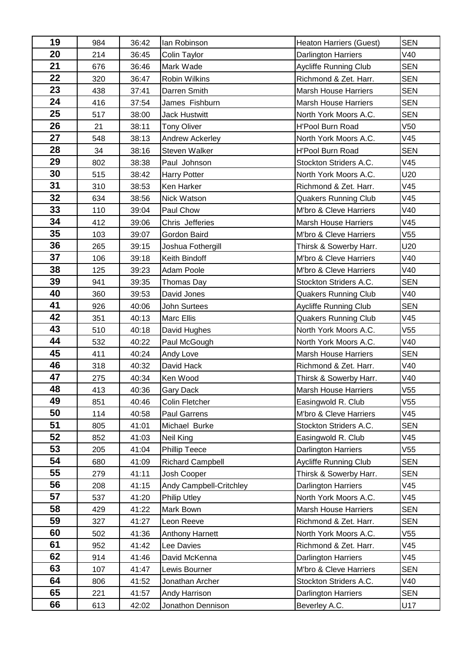| 19 | 984 | 36:42 | lan Robinson            | Heaton Harriers (Guest)      | <b>SEN</b>      |
|----|-----|-------|-------------------------|------------------------------|-----------------|
| 20 | 214 | 36:45 | Colin Taylor            | Darlington Harriers          | V40             |
| 21 | 676 | 36:46 | Mark Wade               | <b>Aycliffe Running Club</b> | <b>SEN</b>      |
| 22 | 320 | 36:47 | <b>Robin Wilkins</b>    | Richmond & Zet. Harr.        | <b>SEN</b>      |
| 23 | 438 | 37:41 | Darren Smith            | <b>Marsh House Harriers</b>  | <b>SEN</b>      |
| 24 | 416 | 37:54 | James Fishburn          | <b>Marsh House Harriers</b>  | <b>SEN</b>      |
| 25 | 517 | 38:00 | <b>Jack Hustwitt</b>    | North York Moors A.C.        | <b>SEN</b>      |
| 26 | 21  | 38:11 | <b>Tony Oliver</b>      | <b>H'Pool Burn Road</b>      | V <sub>50</sub> |
| 27 | 548 | 38:13 | <b>Andrew Ackerley</b>  | North York Moors A.C.        | V45             |
| 28 | 34  | 38:16 | Steven Walker           | H'Pool Burn Road             | <b>SEN</b>      |
| 29 | 802 | 38:38 | Paul Johnson            | Stockton Striders A.C.       | V45             |
| 30 | 515 | 38:42 | <b>Harry Potter</b>     | North York Moors A.C.        | U20             |
| 31 | 310 | 38:53 | <b>Ken Harker</b>       | Richmond & Zet. Harr.        | V45             |
| 32 | 634 | 38:56 | Nick Watson             | <b>Quakers Running Club</b>  | V45             |
| 33 | 110 | 39:04 | Paul Chow               | M'bro & Cleve Harriers       | V40             |
| 34 | 412 | 39:06 | Chris Jefferies         | <b>Marsh House Harriers</b>  | V45             |
| 35 | 103 | 39:07 | Gordon Baird            | M'bro & Cleve Harriers       | V <sub>55</sub> |
| 36 | 265 | 39:15 | Joshua Fothergill       | Thirsk & Sowerby Harr.       | U20             |
| 37 | 106 | 39:18 | Keith Bindoff           | M'bro & Cleve Harriers       | V40             |
| 38 | 125 | 39:23 | Adam Poole              | M'bro & Cleve Harriers       | V40             |
| 39 | 941 | 39:35 | Thomas Day              | Stockton Striders A.C.       | <b>SEN</b>      |
| 40 | 360 | 39:53 | David Jones             | <b>Quakers Running Club</b>  | V40             |
| 41 | 926 | 40:06 | John Surtees            | <b>Aycliffe Running Club</b> | <b>SEN</b>      |
| 42 | 351 | 40:13 | <b>Marc Ellis</b>       | <b>Quakers Running Club</b>  | V45             |
| 43 | 510 | 40:18 | David Hughes            | North York Moors A.C.        | V <sub>55</sub> |
| 44 | 532 | 40:22 | Paul McGough            | North York Moors A.C.        | V40             |
| 45 | 411 | 40:24 | Andy Love               | <b>Marsh House Harriers</b>  | <b>SEN</b>      |
| 46 | 318 | 40:32 | David Hack              | Richmond & Zet. Harr.        | V40             |
| 47 | 275 | 40:34 | Ken Wood                | Thirsk & Sowerby Harr.       | V40             |
| 48 | 413 | 40:36 | Gary Dack               | Marsh House Harriers         | V <sub>55</sub> |
| 49 | 851 | 40:46 | Colin Fletcher          | Easingwold R. Club           | V55             |
| 50 | 114 | 40:58 | Paul Garrens            | M'bro & Cleve Harriers       | V45             |
| 51 | 805 | 41:01 | Michael Burke           | Stockton Striders A.C.       | <b>SEN</b>      |
| 52 | 852 | 41:03 | Neil King               | Easingwold R. Club           | V45             |
| 53 | 205 | 41:04 | <b>Phillip Teece</b>    | Darlington Harriers          | V <sub>55</sub> |
| 54 | 680 | 41:09 | <b>Richard Campbell</b> | Aycliffe Running Club        | <b>SEN</b>      |
| 55 | 279 | 41:11 | Josh Cooper             | Thirsk & Sowerby Harr.       | <b>SEN</b>      |
| 56 | 208 | 41:15 | Andy Campbell-Critchley | Darlington Harriers          | V45             |
| 57 | 537 | 41:20 | <b>Philip Utley</b>     | North York Moors A.C.        | V45             |
| 58 | 429 | 41:22 | Mark Bown               | <b>Marsh House Harriers</b>  | <b>SEN</b>      |
| 59 | 327 | 41:27 | Leon Reeve              | Richmond & Zet. Harr.        | <b>SEN</b>      |
| 60 | 502 | 41:36 | Anthony Harnett         | North York Moors A.C.        | V55             |
| 61 | 952 | 41:42 | Lee Davies              | Richmond & Zet. Harr.        | V45             |
| 62 | 914 | 41:46 | David McKenna           | <b>Darlington Harriers</b>   | V45             |
| 63 | 107 | 41:47 | Lewis Bourner           | M'bro & Cleve Harriers       | <b>SEN</b>      |
| 64 | 806 | 41:52 | Jonathan Archer         | Stockton Striders A.C.       | V40             |
| 65 | 221 | 41:57 | Andy Harrison           | Darlington Harriers          | <b>SEN</b>      |
| 66 | 613 | 42:02 | Jonathon Dennison       | Beverley A.C.                | U17             |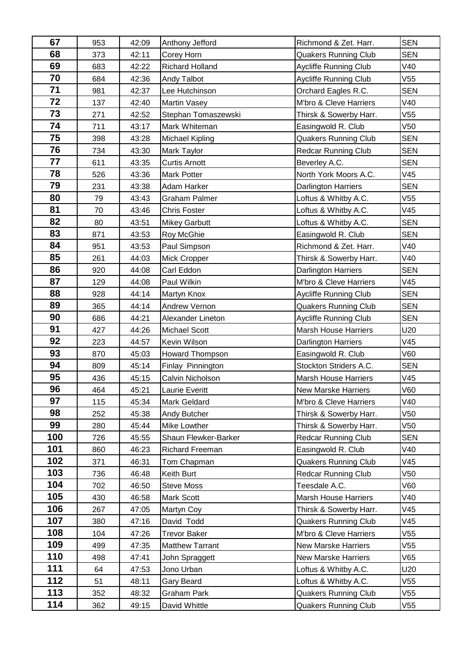| 67  | 953 | 42:09 | Anthony Jefford        | Richmond & Zet. Harr.        | <b>SEN</b>      |
|-----|-----|-------|------------------------|------------------------------|-----------------|
| 68  | 373 | 42:11 | Corey Horn             | <b>Quakers Running Club</b>  | <b>SEN</b>      |
| 69  | 683 | 42:22 | <b>Richard Holland</b> | <b>Aycliffe Running Club</b> | V40             |
| 70  | 684 | 42:36 | Andy Talbot            | <b>Aycliffe Running Club</b> | V <sub>55</sub> |
| 71  | 981 | 42:37 | Lee Hutchinson         | Orchard Eagles R.C.          | <b>SEN</b>      |
| 72  | 137 | 42:40 | <b>Martin Vasey</b>    | M'bro & Cleve Harriers       | V40             |
| 73  | 271 | 42:52 | Stephan Tomaszewski    | Thirsk & Sowerby Harr.       | V55             |
| 74  | 711 | 43:17 | Mark Whiteman          | Easingwold R. Club           | V <sub>50</sub> |
| 75  | 398 | 43:28 | <b>Michael Kipling</b> | <b>Quakers Running Club</b>  | <b>SEN</b>      |
| 76  | 734 | 43:30 | Mark Taylor            | <b>Redcar Running Club</b>   | <b>SEN</b>      |
| 77  | 611 | 43:35 | <b>Curtis Arnott</b>   | Beverley A.C.                | <b>SEN</b>      |
| 78  | 526 | 43:36 | <b>Mark Potter</b>     | North York Moors A.C.        | V45             |
| 79  | 231 | 43:38 | Adam Harker            | Darlington Harriers          | <b>SEN</b>      |
| 80  | 79  | 43:43 | <b>Graham Palmer</b>   | Loftus & Whitby A.C.         | V55             |
| 81  | 70  | 43:46 | <b>Chris Foster</b>    | Loftus & Whitby A.C.         | V45             |
| 82  | 80  | 43:51 | <b>Mikey Garbutt</b>   | Loftus & Whitby A.C.         | <b>SEN</b>      |
| 83  | 871 | 43:53 | Roy McGhie             | Easingwold R. Club           | <b>SEN</b>      |
| 84  | 951 | 43:53 | Paul Simpson           | Richmond & Zet. Harr.        | V40             |
| 85  | 261 | 44:03 | Mick Cropper           | Thirsk & Sowerby Harr.       | V40             |
| 86  | 920 | 44:08 | Carl Eddon             | Darlington Harriers          | <b>SEN</b>      |
| 87  | 129 | 44:08 | Paul Wilkin            | M'bro & Cleve Harriers       | V45             |
| 88  | 928 | 44:14 | Martyn Knox            | <b>Aycliffe Running Club</b> | <b>SEN</b>      |
| 89  | 365 | 44:14 | Andrew Vernon          | <b>Quakers Running Club</b>  | <b>SEN</b>      |
| 90  | 686 | 44:21 | Alexander Lineton      | <b>Aycliffe Running Club</b> | <b>SEN</b>      |
| 91  | 427 | 44:26 | <b>Michael Scott</b>   | Marsh House Harriers         | U20             |
| 92  | 223 | 44:57 | Kevin Wilson           | Darlington Harriers          | V45             |
| 93  | 870 | 45:03 | <b>Howard Thompson</b> | Easingwold R. Club           | V60             |
| 94  | 809 | 45:14 | Finlay Pinnington      | Stockton Striders A.C.       | <b>SEN</b>      |
| 95  | 436 | 45:15 | Calvin Nicholson       | <b>Marsh House Harriers</b>  | V45             |
| 96  | 464 | 45:21 | Laurie Everitt         | New Marske Harriers          | V60             |
| 97  | 115 | 45:34 | Mark Geldard           | M'bro & Cleve Harriers       | V40             |
| 98  | 252 | 45:38 | Andy Butcher           | Thirsk & Sowerby Harr.       | V <sub>50</sub> |
| 99  | 280 | 45:44 | Mike Lowther           | Thirsk & Sowerby Harr.       | V50             |
| 100 | 726 | 45:55 | Shaun Flewker-Barker   | <b>Redcar Running Club</b>   | <b>SEN</b>      |
| 101 | 860 | 46:23 | <b>Richard Freeman</b> | Easingwold R. Club           | V40             |
| 102 | 371 | 46:31 | Tom Chapman            | <b>Quakers Running Club</b>  | V45             |
| 103 | 736 | 46:48 | Keith Burt             | <b>Redcar Running Club</b>   | V50             |
| 104 | 702 | 46:50 | <b>Steve Moss</b>      | Teesdale A.C.                | V60             |
| 105 | 430 | 46:58 | <b>Mark Scott</b>      | <b>Marsh House Harriers</b>  | V40             |
| 106 | 267 | 47:05 | Martyn Coy             | Thirsk & Sowerby Harr.       | V45             |
| 107 | 380 | 47:16 | David Todd             | <b>Quakers Running Club</b>  | V45             |
| 108 | 104 | 47:26 | <b>Trevor Baker</b>    | M'bro & Cleve Harriers       | V55             |
| 109 | 499 | 47:35 | <b>Matthew Tarrant</b> | <b>New Marske Harriers</b>   | V55             |
| 110 | 498 | 47:41 | John Spraggett         | <b>New Marske Harriers</b>   | V65             |
| 111 | 64  | 47:53 | Jono Urban             | Loftus & Whitby A.C.         | U20             |
| 112 | 51  | 48:11 | Gary Beard             | Loftus & Whitby A.C.         | V55             |
| 113 | 352 | 48:32 | Graham Park            | <b>Quakers Running Club</b>  | V55             |
| 114 | 362 | 49:15 | David Whittle          | <b>Quakers Running Club</b>  | V <sub>55</sub> |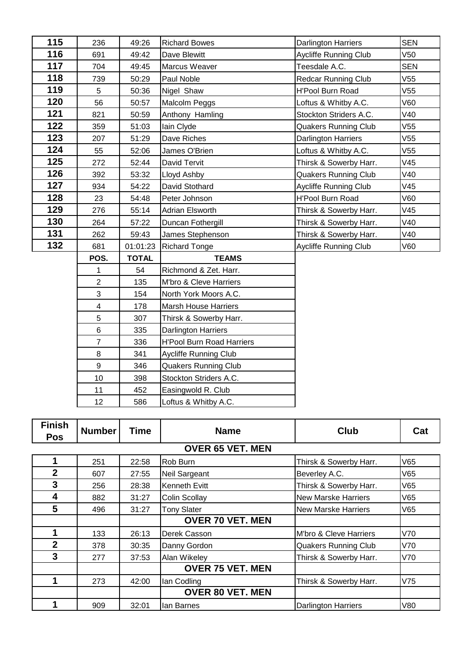| 115 | 236  | 49:26        | <b>Richard Bowes</b>   | Darlington Harriers          | <b>SEN</b>      |
|-----|------|--------------|------------------------|------------------------------|-----------------|
| 116 | 691  | 49:42        | Dave Blewitt           | <b>Aycliffe Running Club</b> | V50             |
| 117 | 704  | 49:45        | Marcus Weaver          | Teesdale A.C.                | <b>SEN</b>      |
| 118 | 739  | 50:29        | Paul Noble             | <b>Redcar Running Club</b>   | V55             |
| 119 | 5    | 50:36        | Nigel Shaw             | H'Pool Burn Road             | V55             |
| 120 | 56   | 50:57        | Malcolm Peggs          | Loftus & Whitby A.C.         | V60             |
| 121 | 821  | 50:59        | Anthony Hamling        | Stockton Striders A.C.       | V40             |
| 122 | 359  | 51:03        | lain Clyde             | <b>Quakers Running Club</b>  | V55             |
| 123 | 207  | 51:29        | Dave Riches            | Darlington Harriers          | V <sub>55</sub> |
| 124 | 55   | 52:06        | James O'Brien          | Loftus & Whitby A.C.         | V55             |
| 125 | 272  | 52:44        | David Tervit           | Thirsk & Sowerby Harr.       | V45             |
| 126 | 392  | 53:32        | Lloyd Ashby            | <b>Quakers Running Club</b>  | V40             |
| 127 | 934  | 54:22        | David Stothard         | <b>Aycliffe Running Club</b> | V45             |
| 128 | 23   | 54:48        | Peter Johnson          | <b>H'Pool Burn Road</b>      | V60             |
| 129 | 276  | 55:14        | <b>Adrian Elsworth</b> | Thirsk & Sowerby Harr.       | V45             |
| 130 | 264  | 57:22        | Duncan Fothergill      | Thirsk & Sowerby Harr.       | V40             |
| 131 | 262  | 59:43        | James Stephenson       | Thirsk & Sowerby Harr.       | V40             |
| 132 | 681  | 01:01:23     | <b>Richard Tonge</b>   | <b>Aycliffe Running Club</b> | V60             |
|     | POS. | <b>TOTAL</b> | <b>TEAMS</b>           |                              |                 |
|     | 1    | 54           | Richmond & Zet. Harr.  |                              |                 |

| rus.           | IUIAL | I EAMS                           |
|----------------|-------|----------------------------------|
|                | 54    | Richmond & Zet. Harr.            |
| $\overline{2}$ | 135   | M'bro & Cleve Harriers           |
| 3.             | 154   | North York Moors A.C.            |
| 4              | 178   | <b>Marsh House Harriers</b>      |
| 5.             | 307   | Thirsk & Sowerby Harr.           |
| 6              | 335   | <b>Darlington Harriers</b>       |
| 7              | 336   | <b>H'Pool Burn Road Harriers</b> |
| 8              | 341   | <b>Aycliffe Running Club</b>     |
| 9              | 346   | <b>Quakers Running Club</b>      |
| 10             | 398   | Stockton Striders A.C.           |
| 11             | 452   | Easingwold R. Club               |
| 12             | 586   | Loftus & Whitby A.C.             |

| <b>Finish</b><br><b>Pos</b> | <b>Number</b>           | <b>Time</b> | <b>Name</b>             | <b>Club</b>                 | Cat |  |  |  |
|-----------------------------|-------------------------|-------------|-------------------------|-----------------------------|-----|--|--|--|
|                             | <b>OVER 65 VET. MEN</b> |             |                         |                             |     |  |  |  |
| 1                           | 251                     | 22:58       | Rob Burn                | Thirsk & Sowerby Harr.      | V65 |  |  |  |
| $\mathbf{2}$                | 607                     | 27:55       | Neil Sargeant           | Beverley A.C.               | V65 |  |  |  |
| 3                           | 256                     | 28:38       | Kenneth Evitt           | Thirsk & Sowerby Harr.      | V65 |  |  |  |
| 4                           | 882                     | 31:27       | Colin Scollay           | <b>New Marske Harriers</b>  | V65 |  |  |  |
| 5                           | 496                     | 31:27       | <b>Tony Slater</b>      | New Marske Harriers         | V65 |  |  |  |
|                             |                         |             | <b>OVER 70 VET. MEN</b> |                             |     |  |  |  |
| 1                           | 133                     | 26:13       | Derek Casson            | M'bro & Cleve Harriers      | V70 |  |  |  |
| $\overline{2}$              | 378                     | 30:35       | Danny Gordon            | <b>Quakers Running Club</b> | V70 |  |  |  |
| 3                           | 277                     | 37:53       | Alan Wikeley            | Thirsk & Sowerby Harr.      | V70 |  |  |  |
|                             |                         |             | <b>OVER 75 VET. MEN</b> |                             |     |  |  |  |
|                             | 273                     | 42:00       | lan Codling             | Thirsk & Sowerby Harr.      | V75 |  |  |  |
|                             |                         |             | <b>OVER 80 VET. MEN</b> |                             |     |  |  |  |
|                             | 909                     | 32:01       | lan Barnes              | <b>Darlington Harriers</b>  | V80 |  |  |  |